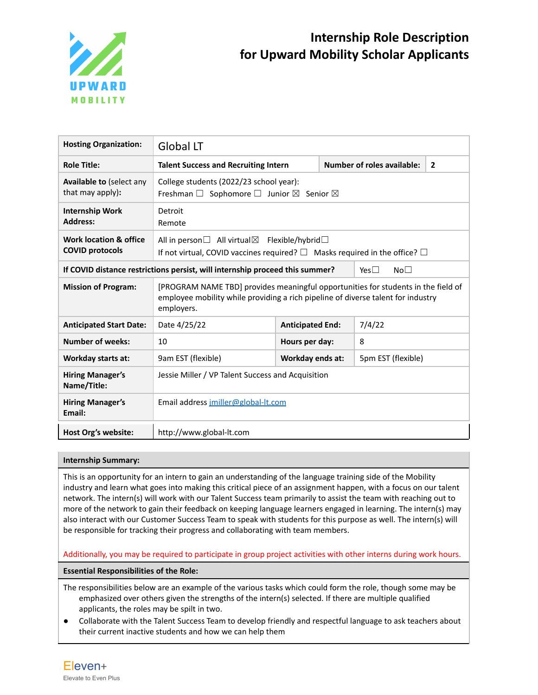

| <b>Hosting Organization:</b>                                                                                     | <b>Global LT</b>                                                                                                                                                                    |                         |                                                   |                    |  |  |
|------------------------------------------------------------------------------------------------------------------|-------------------------------------------------------------------------------------------------------------------------------------------------------------------------------------|-------------------------|---------------------------------------------------|--------------------|--|--|
| <b>Role Title:</b>                                                                                               | <b>Talent Success and Recruiting Intern</b>                                                                                                                                         |                         | <b>Number of roles available:</b><br>$\mathbf{2}$ |                    |  |  |
| Available to (select any<br>that may apply):                                                                     | College students (2022/23 school year):<br>Freshman $\square$ Sophomore $\square$ Junior $\square$ Senior $\square$                                                                 |                         |                                                   |                    |  |  |
| <b>Internship Work</b><br><b>Address:</b>                                                                        | Detroit<br>Remote                                                                                                                                                                   |                         |                                                   |                    |  |  |
| Work location & office<br><b>COVID protocols</b>                                                                 | All in person<br>All virtual<br>Flexible/hybrid<br>If not virtual, COVID vaccines required? $\square$ Masks required in the office? $\square$                                       |                         |                                                   |                    |  |  |
| If COVID distance restrictions persist, will internship proceed this summer?<br>No <sub>1</sub><br>Yes $\square$ |                                                                                                                                                                                     |                         |                                                   |                    |  |  |
| <b>Mission of Program:</b>                                                                                       | [PROGRAM NAME TBD] provides meaningful opportunities for students in the field of<br>employee mobility while providing a rich pipeline of diverse talent for industry<br>employers. |                         |                                                   |                    |  |  |
| <b>Anticipated Start Date:</b>                                                                                   | Date 4/25/22                                                                                                                                                                        | <b>Anticipated End:</b> |                                                   | 7/4/22             |  |  |
| <b>Number of weeks:</b>                                                                                          | 10                                                                                                                                                                                  | Hours per day:          |                                                   | 8                  |  |  |
| <b>Workday starts at:</b>                                                                                        | 9am EST (flexible)                                                                                                                                                                  | Workday ends at:        |                                                   | 5pm EST (flexible) |  |  |
| <b>Hiring Manager's</b><br>Name/Title:                                                                           | Jessie Miller / VP Talent Success and Acquisition                                                                                                                                   |                         |                                                   |                    |  |  |
| <b>Hiring Manager's</b><br>Email:                                                                                | Email address imiller@global-lt.com                                                                                                                                                 |                         |                                                   |                    |  |  |
| Host Org's website:                                                                                              | http://www.global-lt.com                                                                                                                                                            |                         |                                                   |                    |  |  |

# **Internship Summary:**

This is an opportunity for an intern to gain an understanding of the language training side of the Mobility industry and learn what goes into making this critical piece of an assignment happen, with a focus on our talent network. The intern(s) will work with our Talent Success team primarily to assist the team with reaching out to more of the network to gain their feedback on keeping language learners engaged in learning. The intern(s) may also interact with our Customer Success Team to speak with students for this purpose as well. The intern(s) will be responsible for tracking their progress and collaborating with team members.

Additionally, you may be required to participate in group project activities with other interns during work hours.

**Essential Responsibilities of the Role:**

The responsibilities below are an example of the various tasks which could form the role, though some may be emphasized over others given the strengths of the intern(s) selected. If there are multiple qualified applicants, the roles may be spilt in two.

● Collaborate with the Talent Success Team to develop friendly and respectful language to ask teachers about their current inactive students and how we can help them